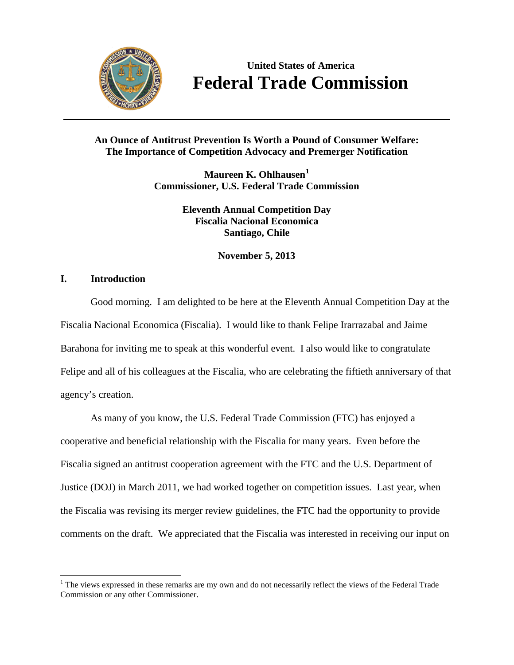

**United States of America Federal Trade Commission**

# **An Ounce of Antitrust Prevention Is Worth a Pound of Consumer Welfare: The Importance of Competition Advocacy and Premerger Notification**

**Maureen K. Ohlhausen[1](#page-0-0) Commissioner, U.S. Federal Trade Commission**

> **Eleventh Annual Competition Day Fiscalia Nacional Economica Santiago, Chile**

> > **November 5, 2013**

# **I. Introduction**

Good morning. I am delighted to be here at the Eleventh Annual Competition Day at the Fiscalia Nacional Economica (Fiscalia). I would like to thank Felipe Irarrazabal and Jaime Barahona for inviting me to speak at this wonderful event. I also would like to congratulate Felipe and all of his colleagues at the Fiscalia, who are celebrating the fiftieth anniversary of that agency's creation.

As many of you know, the U.S. Federal Trade Commission (FTC) has enjoyed a cooperative and beneficial relationship with the Fiscalia for many years. Even before the Fiscalia signed an antitrust cooperation agreement with the FTC and the U.S. Department of Justice (DOJ) in March 2011, we had worked together on competition issues. Last year, when the Fiscalia was revising its merger review guidelines, the FTC had the opportunity to provide comments on the draft. We appreciated that the Fiscalia was interested in receiving our input on

<span id="page-0-0"></span> $1$ . The views expressed in these remarks are my own and do not necessarily reflect the views of the Federal Trade Commission or any other Commissioner.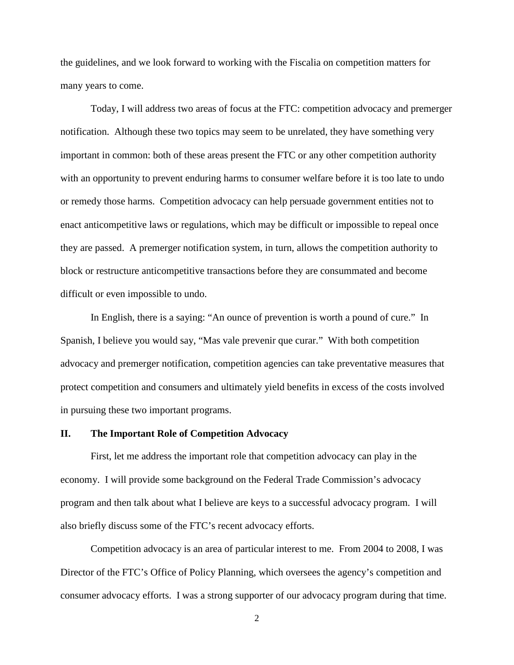the guidelines, and we look forward to working with the Fiscalia on competition matters for many years to come.

Today, I will address two areas of focus at the FTC: competition advocacy and premerger notification. Although these two topics may seem to be unrelated, they have something very important in common: both of these areas present the FTC or any other competition authority with an opportunity to prevent enduring harms to consumer welfare before it is too late to undo or remedy those harms. Competition advocacy can help persuade government entities not to enact anticompetitive laws or regulations, which may be difficult or impossible to repeal once they are passed. A premerger notification system, in turn, allows the competition authority to block or restructure anticompetitive transactions before they are consummated and become difficult or even impossible to undo.

In English, there is a saying: "An ounce of prevention is worth a pound of cure." In Spanish, I believe you would say, "Mas vale prevenir que curar." With both competition advocacy and premerger notification, competition agencies can take preventative measures that protect competition and consumers and ultimately yield benefits in excess of the costs involved in pursuing these two important programs.

# **II. The Important Role of Competition Advocacy**

First, let me address the important role that competition advocacy can play in the economy. I will provide some background on the Federal Trade Commission's advocacy program and then talk about what I believe are keys to a successful advocacy program. I will also briefly discuss some of the FTC's recent advocacy efforts.

Competition advocacy is an area of particular interest to me. From 2004 to 2008, I was Director of the FTC's Office of Policy Planning, which oversees the agency's competition and consumer advocacy efforts. I was a strong supporter of our advocacy program during that time.

2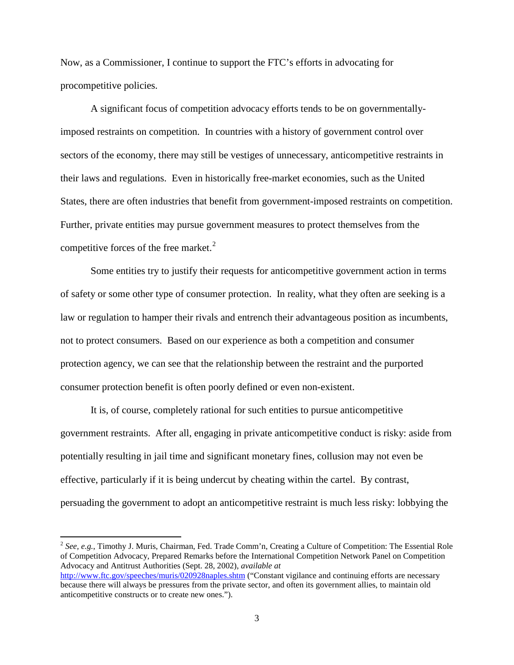Now, as a Commissioner, I continue to support the FTC's efforts in advocating for procompetitive policies.

A significant focus of competition advocacy efforts tends to be on governmentallyimposed restraints on competition. In countries with a history of government control over sectors of the economy, there may still be vestiges of unnecessary, anticompetitive restraints in their laws and regulations. Even in historically free-market economies, such as the United States, there are often industries that benefit from government-imposed restraints on competition. Further, private entities may pursue government measures to protect themselves from the competitive forces of the free market. $2$ 

Some entities try to justify their requests for anticompetitive government action in terms of safety or some other type of consumer protection. In reality, what they often are seeking is a law or regulation to hamper their rivals and entrench their advantageous position as incumbents, not to protect consumers. Based on our experience as both a competition and consumer protection agency, we can see that the relationship between the restraint and the purported consumer protection benefit is often poorly defined or even non-existent.

It is, of course, completely rational for such entities to pursue anticompetitive government restraints. After all, engaging in private anticompetitive conduct is risky: aside from potentially resulting in jail time and significant monetary fines, collusion may not even be effective, particularly if it is being undercut by cheating within the cartel. By contrast, persuading the government to adopt an anticompetitive restraint is much less risky: lobbying the

<span id="page-2-0"></span><sup>2</sup> *See, e.g.*, Timothy J. Muris, Chairman, Fed. Trade Comm'n, Creating a Culture of Competition: The Essential Role of Competition Advocacy, Prepared Remarks before the International Competition Network Panel on Competition Advocacy and Antitrust Authorities (Sept. 28, 2002), *available at* <http://www.ftc.gov/speeches/muris/020928naples.shtm> ("Constant vigilance and continuing efforts are necessary

because there will always be pressures from the private sector, and often its government allies, to maintain old anticompetitive constructs or to create new ones.").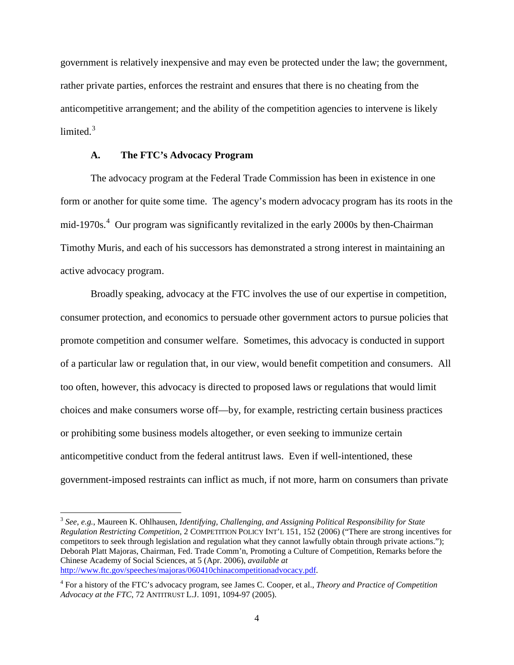government is relatively inexpensive and may even be protected under the law; the government, rather private parties, enforces the restraint and ensures that there is no cheating from the anticompetitive arrangement; and the ability of the competition agencies to intervene is likely limited $<sup>3</sup>$  $<sup>3</sup>$  $<sup>3</sup>$ </sup>

# <span id="page-3-2"></span>**A. The FTC's Advocacy Program**

<span id="page-3-3"></span>The advocacy program at the Federal Trade Commission has been in existence in one form or another for quite some time. The agency's modern advocacy program has its roots in the mid-1970s.<sup>[4](#page-3-1)</sup> Our program was significantly revitalized in the early 2000s by then-Chairman Timothy Muris, and each of his successors has demonstrated a strong interest in maintaining an active advocacy program.

Broadly speaking, advocacy at the FTC involves the use of our expertise in competition, consumer protection, and economics to persuade other government actors to pursue policies that promote competition and consumer welfare. Sometimes, this advocacy is conducted in support of a particular law or regulation that, in our view, would benefit competition and consumers. All too often, however, this advocacy is directed to proposed laws or regulations that would limit choices and make consumers worse off—by, for example, restricting certain business practices or prohibiting some business models altogether, or even seeking to immunize certain anticompetitive conduct from the federal antitrust laws. Even if well-intentioned, these government-imposed restraints can inflict as much, if not more, harm on consumers than private

<span id="page-3-0"></span><sup>3</sup> *See, e.g.*, Maureen K. Ohlhausen, *Identifying, Challenging, and Assigning Political Responsibility for State Regulation Restricting Competition*, 2 COMPETITION POLICY INT'L 151, 152 (2006) ("There are strong incentives for competitors to seek through legislation and regulation what they cannot lawfully obtain through private actions."); Deborah Platt Majoras, Chairman, Fed. Trade Comm'n, Promoting a Culture of Competition, Remarks before the Chinese Academy of Social Sciences, at 5 (Apr. 2006), *available at* [http://www.ftc.gov/speeches/majoras/060410chinacompetitionadvocacy.pdf.](http://www.ftc.gov/speeches/majoras/060410chinacompetitionadvocacy.pdf)

<span id="page-3-1"></span><sup>4</sup> For a history of the FTC's advocacy program, see James C. Cooper, et al., *Theory and Practice of Competition Advocacy at the FTC*, 72 ANTITRUST L.J. 1091, 1094-97 (2005).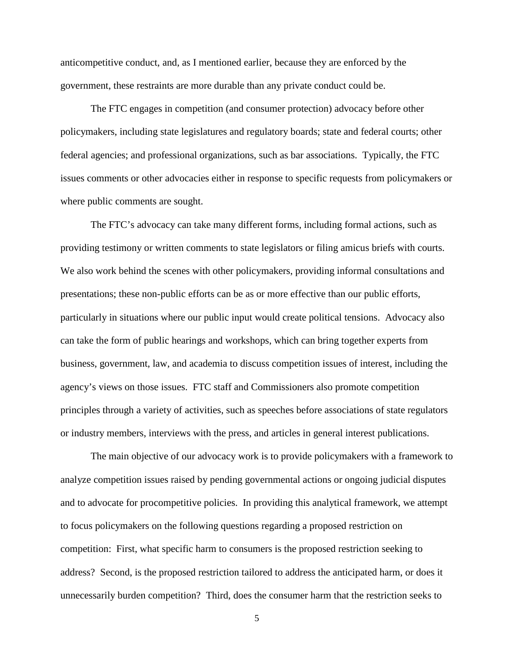anticompetitive conduct, and, as I mentioned earlier, because they are enforced by the government, these restraints are more durable than any private conduct could be.

The FTC engages in competition (and consumer protection) advocacy before other policymakers, including state legislatures and regulatory boards; state and federal courts; other federal agencies; and professional organizations, such as bar associations. Typically, the FTC issues comments or other advocacies either in response to specific requests from policymakers or where public comments are sought.

The FTC's advocacy can take many different forms, including formal actions, such as providing testimony or written comments to state legislators or filing amicus briefs with courts. We also work behind the scenes with other policymakers, providing informal consultations and presentations; these non-public efforts can be as or more effective than our public efforts, particularly in situations where our public input would create political tensions. Advocacy also can take the form of public hearings and workshops, which can bring together experts from business, government, law, and academia to discuss competition issues of interest, including the agency's views on those issues. FTC staff and Commissioners also promote competition principles through a variety of activities, such as speeches before associations of state regulators or industry members, interviews with the press, and articles in general interest publications.

The main objective of our advocacy work is to provide policymakers with a framework to analyze competition issues raised by pending governmental actions or ongoing judicial disputes and to advocate for procompetitive policies. In providing this analytical framework, we attempt to focus policymakers on the following questions regarding a proposed restriction on competition: First, what specific harm to consumers is the proposed restriction seeking to address? Second, is the proposed restriction tailored to address the anticipated harm, or does it unnecessarily burden competition? Third, does the consumer harm that the restriction seeks to

5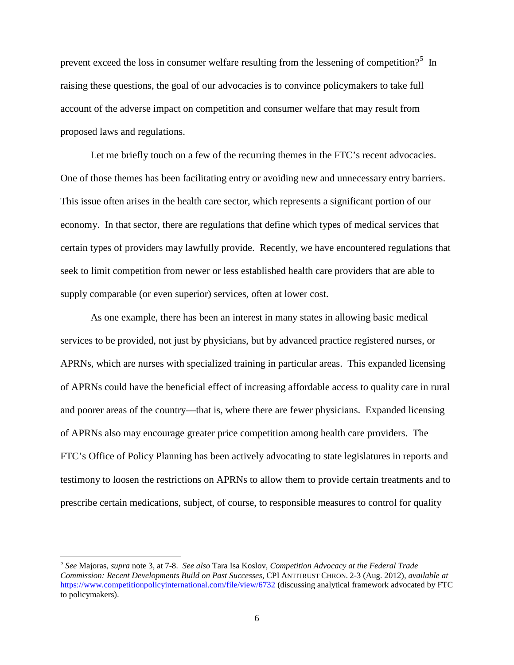prevent exceed the loss in consumer welfare resulting from the lessening of competition?<sup>[5](#page-5-0)</sup> In raising these questions, the goal of our advocacies is to convince policymakers to take full account of the adverse impact on competition and consumer welfare that may result from proposed laws and regulations.

Let me briefly touch on a few of the recurring themes in the FTC's recent advocacies. One of those themes has been facilitating entry or avoiding new and unnecessary entry barriers. This issue often arises in the health care sector, which represents a significant portion of our economy. In that sector, there are regulations that define which types of medical services that certain types of providers may lawfully provide. Recently, we have encountered regulations that seek to limit competition from newer or less established health care providers that are able to supply comparable (or even superior) services, often at lower cost.

As one example, there has been an interest in many states in allowing basic medical services to be provided, not just by physicians, but by advanced practice registered nurses, or APRNs, which are nurses with specialized training in particular areas. This expanded licensing of APRNs could have the beneficial effect of increasing affordable access to quality care in rural and poorer areas of the country—that is, where there are fewer physicians. Expanded licensing of APRNs also may encourage greater price competition among health care providers. The FTC's Office of Policy Planning has been actively advocating to state legislatures in reports and testimony to loosen the restrictions on APRNs to allow them to provide certain treatments and to prescribe certain medications, subject, of course, to responsible measures to control for quality

<span id="page-5-0"></span><sup>5</sup> *See* Majoras, *supra* note [3,](#page-3-2) at 7-8. *See also* Tara Isa Koslov, *Competition Advocacy at the Federal Trade Commission: Recent Developments Build on Past Successes*, CPI ANTITRUST CHRON. 2-3 (Aug. 2012), *available at* <https://www.competitionpolicyinternational.com/file/view/6732> (discussing analytical framework advocated by FTC to policymakers).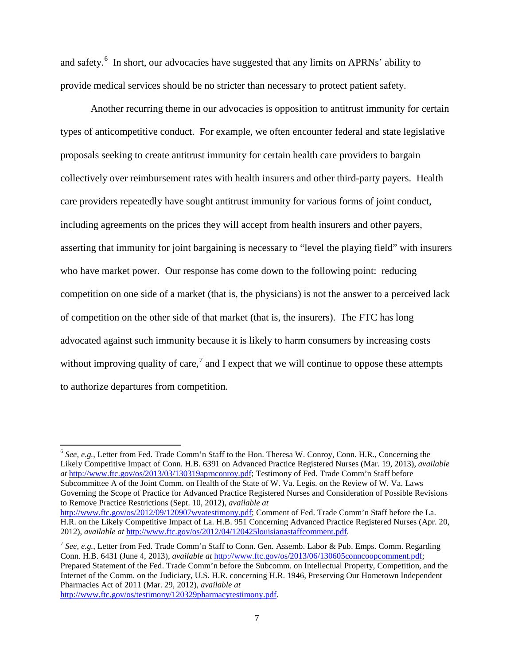and safety.<sup>[6](#page-6-0)</sup> In short, our advocacies have suggested that any limits on APRNs' ability to provide medical services should be no stricter than necessary to protect patient safety.

Another recurring theme in our advocacies is opposition to antitrust immunity for certain types of anticompetitive conduct. For example, we often encounter federal and state legislative proposals seeking to create antitrust immunity for certain health care providers to bargain collectively over reimbursement rates with health insurers and other third-party payers. Health care providers repeatedly have sought antitrust immunity for various forms of joint conduct, including agreements on the prices they will accept from health insurers and other payers, asserting that immunity for joint bargaining is necessary to "level the playing field" with insurers who have market power. Our response has come down to the following point: reducing competition on one side of a market (that is, the physicians) is not the answer to a perceived lack of competition on the other side of that market (that is, the insurers). The FTC has long advocated against such immunity because it is likely to harm consumers by increasing costs without improving quality of care,<sup>[7](#page-6-1)</sup> and I expect that we will continue to oppose these attempts to authorize departures from competition.

<span id="page-6-0"></span><sup>6</sup> *See, e.g.*, [Letter from Fed. Trade Comm'n Staff to the Hon.](http://www.ftc.gov/os/2013/03/130319aprnconroy.pdf) Theresa W. Conroy, Conn. H.R., Concerning the [Likely Competitive Impact of Conn.](http://www.ftc.gov/os/2013/03/130319aprnconroy.pdf) H.B. 6391 on Advanced Practice Registered Nurses (Mar. 19, 2013), *available at* [http://www.ftc.gov/os/2013/03/130319aprnconroy.pdf;](http://www.ftc.gov/os/2013/03/130319aprnconroy.pdf) [Testimony of Fed. Trade Comm'n Staff before](http://www.ftc.gov/os/2012/09/120907wvatestimony.pdf)  [Subcommittee A of the Joint Comm.](http://www.ftc.gov/os/2012/09/120907wvatestimony.pdf) on Health of the State of W. Va. Legis. on the Review of W. Va. Laws [Governing the Scope of Practice for Advanced Practice Registered Nurses and Consideration of Possible Revisions](http://www.ftc.gov/os/2012/09/120907wvatestimony.pdf)  [to Remove Practice Restrictions \(](http://www.ftc.gov/os/2012/09/120907wvatestimony.pdf)Sept. 10, 2012), *available at*

[http://www.ftc.gov/os/2012/09/120907wvatestimony.pdf;](http://www.ftc.gov/os/2012/09/120907wvatestimony.pdf) Comment of Fed. Trade Comm'n Staff before the La. H.R. on the Likely Competitive Impact of La. H.B. 951 Concerning Advanced Practice Registered Nurses (Apr. 20, 2012), *available at* [http://www.ftc.gov/os/2012/04/120425louisianastaffcomment.pdf.](http://www.ftc.gov/os/2012/04/120425louisianastaffcomment.pdf)

<span id="page-6-1"></span><sup>7</sup> *See, e.g.*, Letter from Fed. Trade Comm'n Staff to Conn. Gen. Assemb. Labor & Pub. Emps. Comm. Regarding Conn. H.B. 6431 (June 4, 2013), *available at* [http://www.ftc.gov/os/2013/06/130605conncoopcomment.pdf;](http://www.ftc.gov/os/2013/06/130605conncoopcomment.pdf) Prepared Statement of the Fed. Trade Comm'n before the Subcomm. on Intellectual Property, Competition, and the Internet of the Comm. on the Judiciary, U.S. H.R. concerning H.R. 1946, Preserving Our Hometown Independent Pharmacies Act of 2011 (Mar. 29, 2012), *available at*

[http://www.ftc.gov/os/testimony/120329pharmacytestimony.pdf.](http://www.ftc.gov/os/testimony/120329pharmacytestimony.pdf)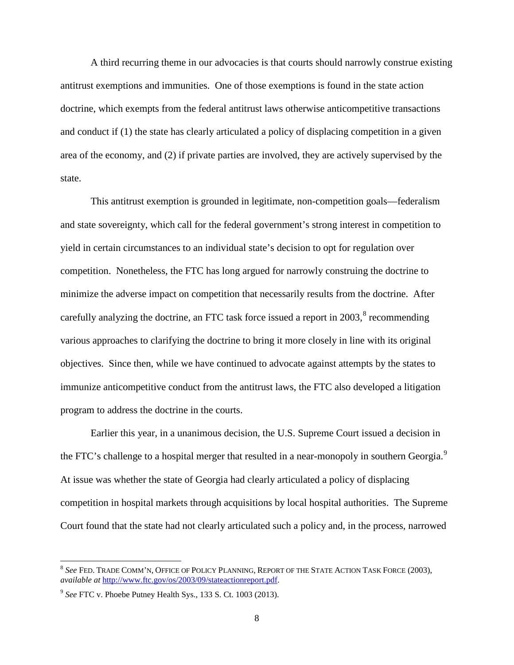A third recurring theme in our advocacies is that courts should narrowly construe existing antitrust exemptions and immunities. One of those exemptions is found in the state action doctrine, which exempts from the federal antitrust laws otherwise anticompetitive transactions and conduct if (1) the state has clearly articulated a policy of displacing competition in a given area of the economy, and (2) if private parties are involved, they are actively supervised by the state.

This antitrust exemption is grounded in legitimate, non-competition goals—federalism and state sovereignty, which call for the federal government's strong interest in competition to yield in certain circumstances to an individual state's decision to opt for regulation over competition. Nonetheless, the FTC has long argued for narrowly construing the doctrine to minimize the adverse impact on competition that necessarily results from the doctrine. After carefully analyzing the doctrine, an FTC task force issued a report in  $2003$ ,<sup>[8](#page-7-0)</sup> recommending various approaches to clarifying the doctrine to bring it more closely in line with its original objectives. Since then, while we have continued to advocate against attempts by the states to immunize anticompetitive conduct from the antitrust laws, the FTC also developed a litigation program to address the doctrine in the courts.

Earlier this year, in a unanimous decision, the U.S. Supreme Court issued a decision in the FTC's challenge to a hospital merger that resulted in a near-monopoly in southern Georgia.<sup>[9](#page-7-1)</sup> At issue was whether the state of Georgia had clearly articulated a policy of displacing competition in hospital markets through acquisitions by local hospital authorities. The Supreme Court found that the state had not clearly articulated such a policy and, in the process, narrowed

<span id="page-7-0"></span><sup>8</sup> *See* FED. TRADE COMM'N, OFFICE OF POLICY PLANNING, REPORT OF THE STATE ACTION TASK FORCE (2003), *available at* [http://www.ftc.gov/os/2003/09/stateactionreport.pdf.](http://www.ftc.gov/os/2003/09/stateactionreport.pdf)

<span id="page-7-1"></span><sup>9</sup> *See* FTC v. Phoebe Putney Health Sys., 133 S. Ct. 1003 (2013).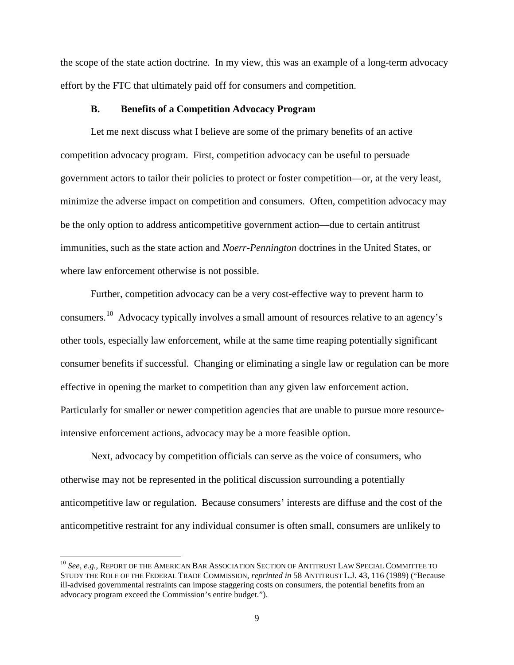the scope of the state action doctrine. In my view, this was an example of a long-term advocacy effort by the FTC that ultimately paid off for consumers and competition.

## **B. Benefits of a Competition Advocacy Program**

Let me next discuss what I believe are some of the primary benefits of an active competition advocacy program. First, competition advocacy can be useful to persuade government actors to tailor their policies to protect or foster competition—or, at the very least, minimize the adverse impact on competition and consumers. Often, competition advocacy may be the only option to address anticompetitive government action—due to certain antitrust immunities, such as the state action and *Noerr-Pennington* doctrines in the United States, or where law enforcement otherwise is not possible.

Further, competition advocacy can be a very cost-effective way to prevent harm to consumers.[10](#page-8-0) Advocacy typically involves a small amount of resources relative to an agency's other tools, especially law enforcement, while at the same time reaping potentially significant consumer benefits if successful. Changing or eliminating a single law or regulation can be more effective in opening the market to competition than any given law enforcement action. Particularly for smaller or newer competition agencies that are unable to pursue more resourceintensive enforcement actions, advocacy may be a more feasible option.

Next, advocacy by competition officials can serve as the voice of consumers, who otherwise may not be represented in the political discussion surrounding a potentially anticompetitive law or regulation. Because consumers' interests are diffuse and the cost of the anticompetitive restraint for any individual consumer is often small, consumers are unlikely to

<span id="page-8-0"></span><sup>10</sup> *See, e.g.*, REPORT OF THE AMERICAN BAR ASSOCIATION SECTION OF ANTITRUST LAW SPECIAL COMMITTEE TO STUDY THE ROLE OF THE FEDERAL TRADE COMMISSION, *reprinted in* 58 ANTITRUST L.J. 43, 116 (1989) ("Because ill-advised governmental restraints can impose staggering costs on consumers, the potential benefits from an advocacy program exceed the Commission's entire budget.").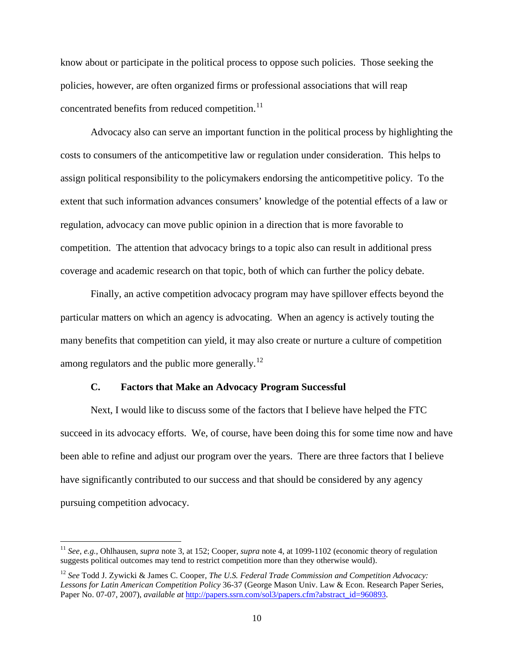know about or participate in the political process to oppose such policies. Those seeking the policies, however, are often organized firms or professional associations that will reap concentrated benefits from reduced competition.<sup>[11](#page-9-0)</sup>

Advocacy also can serve an important function in the political process by highlighting the costs to consumers of the anticompetitive law or regulation under consideration. This helps to assign political responsibility to the policymakers endorsing the anticompetitive policy. To the extent that such information advances consumers' knowledge of the potential effects of a law or regulation, advocacy can move public opinion in a direction that is more favorable to competition. The attention that advocacy brings to a topic also can result in additional press coverage and academic research on that topic, both of which can further the policy debate.

Finally, an active competition advocacy program may have spillover effects beyond the particular matters on which an agency is advocating. When an agency is actively touting the many benefits that competition can yield, it may also create or nurture a culture of competition among regulators and the public more generally.<sup>[12](#page-9-1)</sup>

# **C. Factors that Make an Advocacy Program Successful**

Next, I would like to discuss some of the factors that I believe have helped the FTC succeed in its advocacy efforts. We, of course, have been doing this for some time now and have been able to refine and adjust our program over the years. There are three factors that I believe have significantly contributed to our success and that should be considered by any agency pursuing competition advocacy.

<span id="page-9-0"></span><sup>11</sup> *See, e.g.*, Ohlhausen, *supra* note [3,](#page-3-2) at 152; Cooper, *supra* not[e 4,](#page-3-3) at 1099-1102 (economic theory of regulation suggests political outcomes may tend to restrict competition more than they otherwise would).

<span id="page-9-1"></span><sup>12</sup> *See* Todd J. Zywicki & James C. Cooper, *The U.S. Federal Trade Commission and Competition Advocacy: Lessons for Latin American Competition Policy* 36-37 (George Mason Univ. Law & Econ. Research Paper Series, Paper No. 07-07, 2007), *available at* [http://papers.ssrn.com/sol3/papers.cfm?abstract\\_id=960893.](http://papers.ssrn.com/sol3/papers.cfm?abstract_id=960893)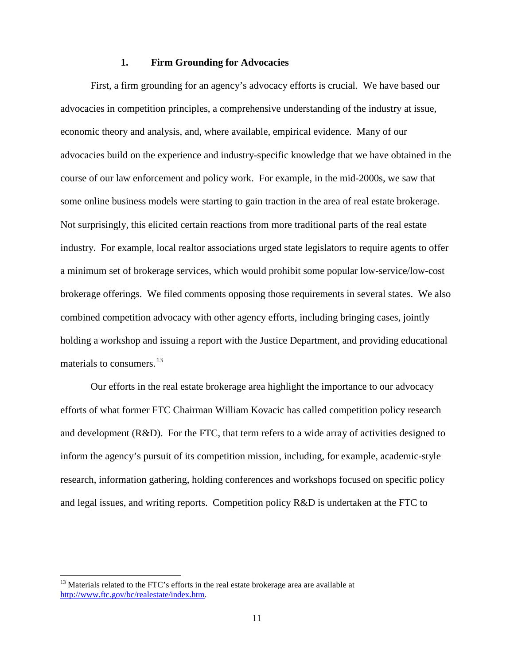# **1. Firm Grounding for Advocacies**

First, a firm grounding for an agency's advocacy efforts is crucial. We have based our advocacies in competition principles, a comprehensive understanding of the industry at issue, economic theory and analysis, and, where available, empirical evidence. Many of our advocacies build on the experience and industry-specific knowledge that we have obtained in the course of our law enforcement and policy work. For example, in the mid-2000s, we saw that some online business models were starting to gain traction in the area of real estate brokerage. Not surprisingly, this elicited certain reactions from more traditional parts of the real estate industry. For example, local realtor associations urged state legislators to require agents to offer a minimum set of brokerage services, which would prohibit some popular low-service/low-cost brokerage offerings. We filed comments opposing those requirements in several states. We also combined competition advocacy with other agency efforts, including bringing cases, jointly holding a workshop and issuing a report with the Justice Department, and providing educational materials to consumers.<sup>[13](#page-10-0)</sup>

Our efforts in the real estate brokerage area highlight the importance to our advocacy efforts of what former FTC Chairman William Kovacic has called competition policy research and development  $(R&D)$ . For the FTC, that term refers to a wide array of activities designed to inform the agency's pursuit of its competition mission, including, for example, academic-style research, information gathering, holding conferences and workshops focused on specific policy and legal issues, and writing reports. Competition policy R&D is undertaken at the FTC to

<span id="page-10-0"></span> $13$  Materials related to the FTC's efforts in the real estate brokerage area are available at [http://www.ftc.gov/bc/realestate/index.htm.](http://www.ftc.gov/bc/realestate/index.htm)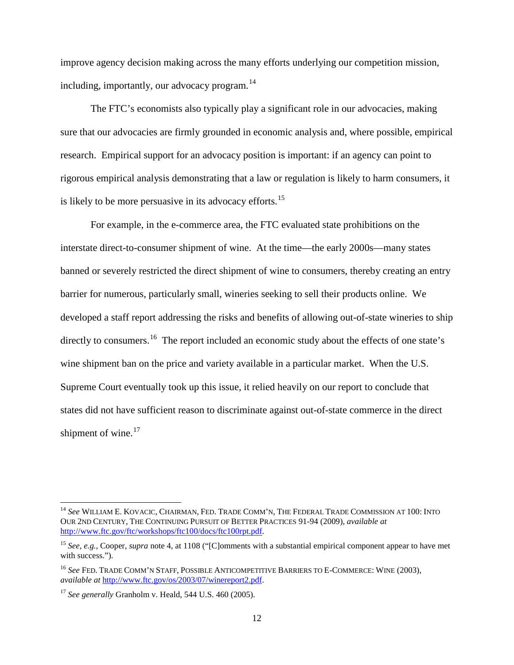improve agency decision making across the many efforts underlying our competition mission, including, importantly, our advocacy program. [14](#page-11-0)

The FTC's economists also typically play a significant role in our advocacies, making sure that our advocacies are firmly grounded in economic analysis and, where possible, empirical research. Empirical support for an advocacy position is important: if an agency can point to rigorous empirical analysis demonstrating that a law or regulation is likely to harm consumers, it is likely to be more persuasive in its advocacy efforts.<sup>[15](#page-11-1)</sup>

For example, in the e-commerce area, the FTC evaluated state prohibitions on the interstate direct-to-consumer shipment of wine. At the time—the early 2000s—many states banned or severely restricted the direct shipment of wine to consumers, thereby creating an entry barrier for numerous, particularly small, wineries seeking to sell their products online. We developed a staff report addressing the risks and benefits of allowing out-of-state wineries to ship directly to consumers.<sup>16</sup> The report included an economic study about the effects of one state's wine shipment ban on the price and variety available in a particular market. When the U.S. Supreme Court eventually took up this issue, it relied heavily on our report to conclude that states did not have sufficient reason to discriminate against out-of-state commerce in the direct shipment of wine. $17$ 

<span id="page-11-0"></span><sup>14</sup> *See* WILLIAM E. KOVACIC, CHAIRMAN, FED. TRADE COMM'N, THE FEDERAL TRADE COMMISSION AT 100: INTO OUR 2ND CENTURY, THE CONTINUING PURSUIT OF BETTER PRACTICES 91-94 (2009), *available at* [http://www.ftc.gov/ftc/workshops/ftc100/docs/ftc100rpt.pdf.](http://www.ftc.gov/ftc/workshops/ftc100/docs/ftc100rpt.pdf)

<span id="page-11-1"></span><sup>15</sup> *See, e.g.*, Cooper, *supra* note [4,](#page-3-3) at 1108 ("[C]omments with a substantial empirical component appear to have met with success.").

<span id="page-11-2"></span><sup>16</sup> *See* FED. TRADE COMM'N STAFF, POSSIBLE ANTICOMPETITIVE BARRIERS TO E-COMMERCE: WINE (2003), *available at* [http://www.ftc.gov/os/2003/07/winereport2.pdf.](http://www.ftc.gov/os/2003/07/winereport2.pdf)

<span id="page-11-3"></span><sup>17</sup> *See generally* Granholm v. Heald, 544 U.S. 460 (2005).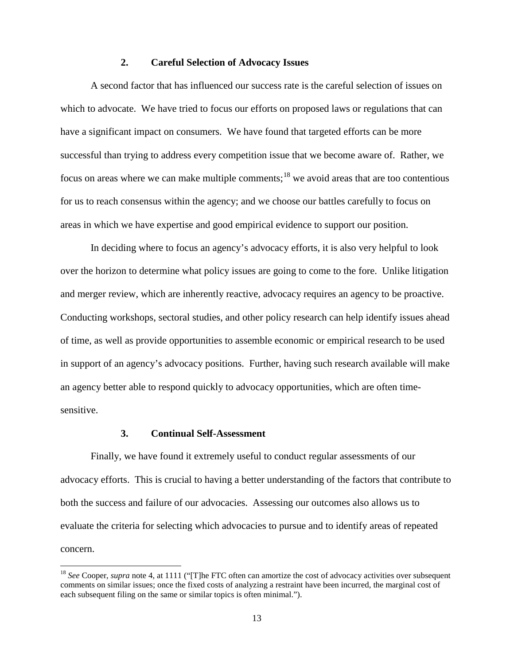#### **2. Careful Selection of Advocacy Issues**

A second factor that has influenced our success rate is the careful selection of issues on which to advocate. We have tried to focus our efforts on proposed laws or regulations that can have a significant impact on consumers. We have found that targeted efforts can be more successful than trying to address every competition issue that we become aware of. Rather, we focus on areas where we can make multiple comments;  $18$  we avoid areas that are too contentious for us to reach consensus within the agency; and we choose our battles carefully to focus on areas in which we have expertise and good empirical evidence to support our position.

In deciding where to focus an agency's advocacy efforts, it is also very helpful to look over the horizon to determine what policy issues are going to come to the fore. Unlike litigation and merger review, which are inherently reactive, advocacy requires an agency to be proactive. Conducting workshops, sectoral studies, and other policy research can help identify issues ahead of time, as well as provide opportunities to assemble economic or empirical research to be used in support of an agency's advocacy positions. Further, having such research available will make an agency better able to respond quickly to advocacy opportunities, which are often timesensitive.

# **3. Continual Self-Assessment**

Finally, we have found it extremely useful to conduct regular assessments of our advocacy efforts. This is crucial to having a better understanding of the factors that contribute to both the success and failure of our advocacies. Assessing our outcomes also allows us to evaluate the criteria for selecting which advocacies to pursue and to identify areas of repeated concern.

<span id="page-12-0"></span><sup>&</sup>lt;sup>18</sup> See Cooper, *supra* note [4,](#page-3-3) at 1111 ("[T]he FTC often can amortize the cost of advocacy activities over subsequent comments on similar issues; once the fixed costs of analyzing a restraint have been incurred, the marginal cost of each subsequent filing on the same or similar topics is often minimal.").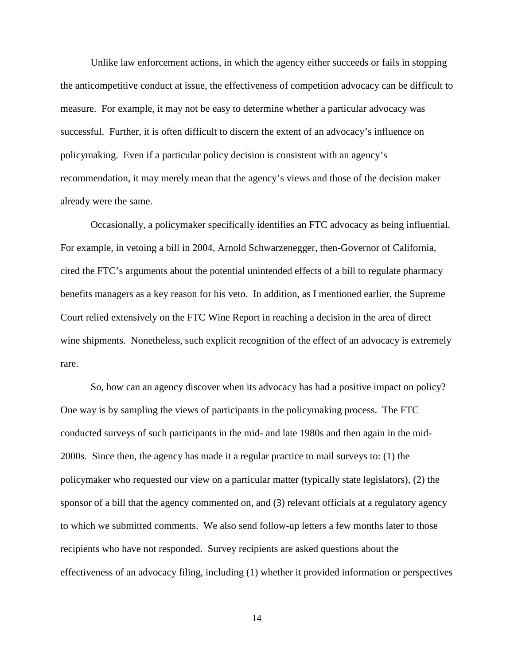Unlike law enforcement actions, in which the agency either succeeds or fails in stopping the anticompetitive conduct at issue, the effectiveness of competition advocacy can be difficult to measure. For example, it may not be easy to determine whether a particular advocacy was successful. Further, it is often difficult to discern the extent of an advocacy's influence on policymaking. Even if a particular policy decision is consistent with an agency's recommendation, it may merely mean that the agency's views and those of the decision maker already were the same.

Occasionally, a policymaker specifically identifies an FTC advocacy as being influential. For example, in vetoing a bill in 2004, Arnold Schwarzenegger, then-Governor of California, cited the FTC's arguments about the potential unintended effects of a bill to regulate pharmacy benefits managers as a key reason for his veto. In addition, as I mentioned earlier, the Supreme Court relied extensively on the FTC Wine Report in reaching a decision in the area of direct wine shipments. Nonetheless, such explicit recognition of the effect of an advocacy is extremely rare.

So, how can an agency discover when its advocacy has had a positive impact on policy? One way is by sampling the views of participants in the policymaking process. The FTC conducted surveys of such participants in the mid- and late 1980s and then again in the mid-2000s. Since then, the agency has made it a regular practice to mail surveys to: (1) the policymaker who requested our view on a particular matter (typically state legislators), (2) the sponsor of a bill that the agency commented on, and (3) relevant officials at a regulatory agency to which we submitted comments. We also send follow-up letters a few months later to those recipients who have not responded. Survey recipients are asked questions about the effectiveness of an advocacy filing, including (1) whether it provided information or perspectives

14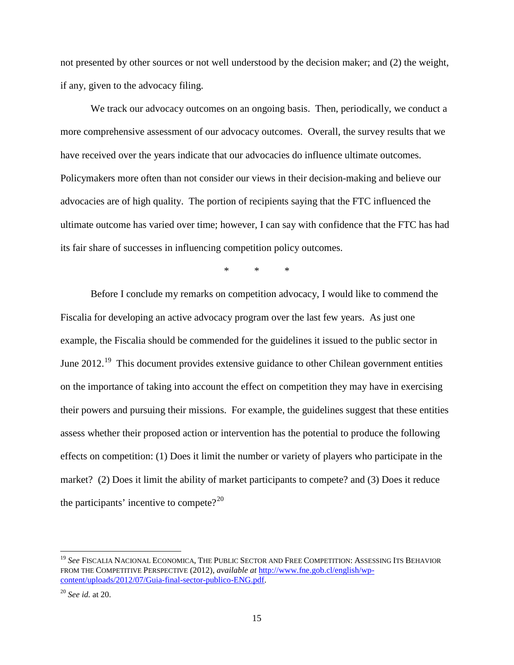not presented by other sources or not well understood by the decision maker; and (2) the weight, if any, given to the advocacy filing.

We track our advocacy outcomes on an ongoing basis. Then, periodically, we conduct a more comprehensive assessment of our advocacy outcomes. Overall, the survey results that we have received over the years indicate that our advocacies do influence ultimate outcomes. Policymakers more often than not consider our views in their decision-making and believe our advocacies are of high quality. The portion of recipients saying that the FTC influenced the ultimate outcome has varied over time; however, I can say with confidence that the FTC has had its fair share of successes in influencing competition policy outcomes.

\* \* \*

Before I conclude my remarks on competition advocacy, I would like to commend the Fiscalia for developing an active advocacy program over the last few years. As just one example, the Fiscalia should be commended for the guidelines it issued to the public sector in June 2012.<sup>19</sup> This document provides extensive guidance to other Chilean government entities on the importance of taking into account the effect on competition they may have in exercising their powers and pursuing their missions. For example, the guidelines suggest that these entities assess whether their proposed action or intervention has the potential to produce the following effects on competition: (1) Does it limit the number or variety of players who participate in the market? (2) Does it limit the ability of market participants to compete? and (3) Does it reduce the participants' incentive to compete? $2^{20}$  $2^{20}$  $2^{20}$ 

<span id="page-14-0"></span><sup>&</sup>lt;sup>19</sup> See FISCALIA NACIONAL ECONOMICA, THE PUBLIC SECTOR AND FREE COMPETITION: ASSESSING ITS BEHAVIOR FROM THE COMPETITIVE PERSPECTIVE (2012), *available at* [http://www.fne.gob.cl/english/wp](http://www.fne.gob.cl/english/wp-content/uploads/2012/07/Guia-final-sector-publico-ENG.pdf)[content/uploads/2012/07/Guia-final-sector-publico-ENG.pdf.](http://www.fne.gob.cl/english/wp-content/uploads/2012/07/Guia-final-sector-publico-ENG.pdf)

<span id="page-14-1"></span><sup>20</sup> *See id.* at 20.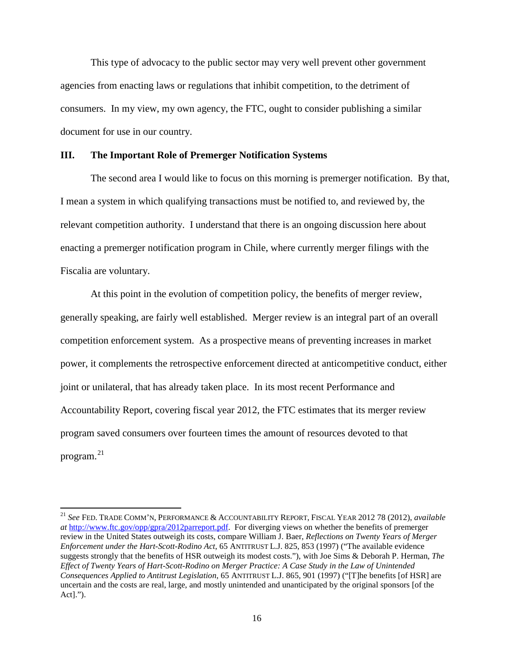This type of advocacy to the public sector may very well prevent other government agencies from enacting laws or regulations that inhibit competition, to the detriment of consumers. In my view, my own agency, the FTC, ought to consider publishing a similar document for use in our country.

### **III. The Important Role of Premerger Notification Systems**

The second area I would like to focus on this morning is premerger notification. By that, I mean a system in which qualifying transactions must be notified to, and reviewed by, the relevant competition authority. I understand that there is an ongoing discussion here about enacting a premerger notification program in Chile, where currently merger filings with the Fiscalia are voluntary.

At this point in the evolution of competition policy, the benefits of merger review, generally speaking, are fairly well established. Merger review is an integral part of an overall competition enforcement system. As a prospective means of preventing increases in market power, it complements the retrospective enforcement directed at anticompetitive conduct, either joint or unilateral, that has already taken place. In its most recent Performance and Accountability Report, covering fiscal year 2012, the FTC estimates that its merger review program saved consumers over fourteen times the amount of resources devoted to that program. $^{21}$  $^{21}$  $^{21}$ 

<span id="page-15-0"></span><sup>21</sup> *See* FED. TRADE COMM'N, PERFORMANCE & ACCOUNTABILITY REPORT, FISCAL YEAR 2012 78 (2012), *available at* [http://www.ftc.gov/opp/gpra/2012parreport.pdf.](http://www.ftc.gov/opp/gpra/2012parreport.pdf) For diverging views on whether the benefits of premerger review in the United States outweigh its costs, compare William J. Baer, *Reflections on Twenty Years of Merger Enforcement under the Hart-Scott-Rodino Act*, 65 ANTITRUST L.J. 825, 853 (1997) ("The available evidence suggests strongly that the benefits of HSR outweigh its modest costs."), with Joe Sims & Deborah P. Herman, *The Effect of Twenty Years of Hart-Scott-Rodino on Merger Practice: A Case Study in the Law of Unintended Consequences Applied to Antitrust Legislation*, 65 ANTITRUST L.J. 865, 901 (1997) ("[T]he benefits [of HSR] are uncertain and the costs are real, large, and mostly unintended and unanticipated by the original sponsors [of the Act].").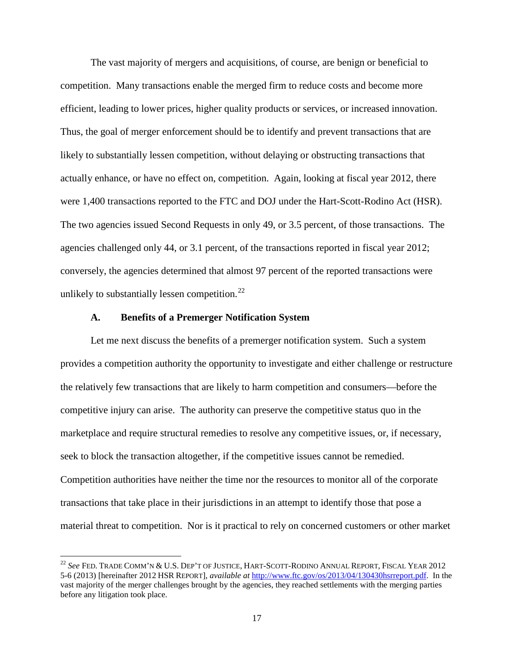The vast majority of mergers and acquisitions, of course, are benign or beneficial to competition. Many transactions enable the merged firm to reduce costs and become more efficient, leading to lower prices, higher quality products or services, or increased innovation. Thus, the goal of merger enforcement should be to identify and prevent transactions that are likely to substantially lessen competition, without delaying or obstructing transactions that actually enhance, or have no effect on, competition. Again, looking at fiscal year 2012, there were 1,400 transactions reported to the FTC and DOJ under the Hart-Scott-Rodino Act (HSR). The two agencies issued Second Requests in only 49, or 3.5 percent, of those transactions. The agencies challenged only 44, or 3.1 percent, of the transactions reported in fiscal year 2012; conversely, the agencies determined that almost 97 percent of the reported transactions were unlikely to substantially lessen competition.<sup>[22](#page-16-0)</sup>

#### <span id="page-16-1"></span>**A. Benefits of a Premerger Notification System**

Let me next discuss the benefits of a premerger notification system. Such a system provides a competition authority the opportunity to investigate and either challenge or restructure the relatively few transactions that are likely to harm competition and consumers—before the competitive injury can arise. The authority can preserve the competitive status quo in the marketplace and require structural remedies to resolve any competitive issues, or, if necessary, seek to block the transaction altogether, if the competitive issues cannot be remedied. Competition authorities have neither the time nor the resources to monitor all of the corporate transactions that take place in their jurisdictions in an attempt to identify those that pose a material threat to competition. Nor is it practical to rely on concerned customers or other market

<span id="page-16-0"></span><sup>22</sup> *See* FED. TRADE COMM'N & U.S. DEP'T OF JUSTICE, HART-SCOTT-RODINO ANNUAL REPORT, FISCAL YEAR 2012 5-6 (2013) [hereinafter 2012 HSR REPORT], *available at* [http://www.ftc.gov/os/2013/04/130430hsrreport.pdf.](http://www.ftc.gov/os/2013/04/130430hsrreport.pdf) In the vast majority of the merger challenges brought by the agencies, they reached settlements with the merging parties before any litigation took place.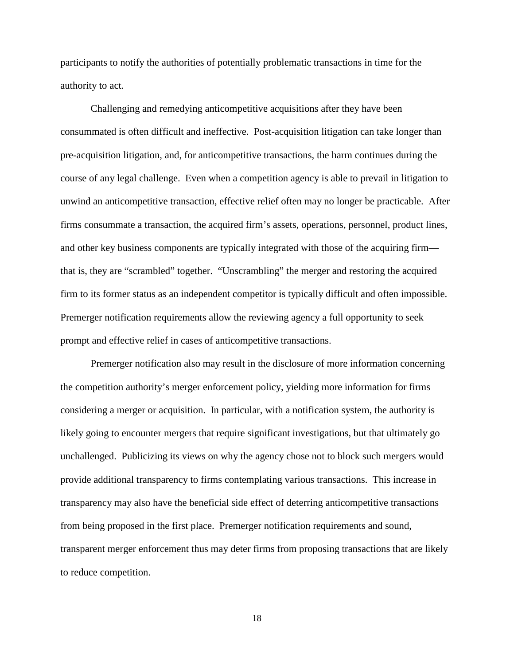participants to notify the authorities of potentially problematic transactions in time for the authority to act.

Challenging and remedying anticompetitive acquisitions after they have been consummated is often difficult and ineffective. Post-acquisition litigation can take longer than pre-acquisition litigation, and, for anticompetitive transactions, the harm continues during the course of any legal challenge. Even when a competition agency is able to prevail in litigation to unwind an anticompetitive transaction, effective relief often may no longer be practicable. After firms consummate a transaction, the acquired firm's assets, operations, personnel, product lines, and other key business components are typically integrated with those of the acquiring firm that is, they are "scrambled" together. "Unscrambling" the merger and restoring the acquired firm to its former status as an independent competitor is typically difficult and often impossible. Premerger notification requirements allow the reviewing agency a full opportunity to seek prompt and effective relief in cases of anticompetitive transactions.

Premerger notification also may result in the disclosure of more information concerning the competition authority's merger enforcement policy, yielding more information for firms considering a merger or acquisition. In particular, with a notification system, the authority is likely going to encounter mergers that require significant investigations, but that ultimately go unchallenged. Publicizing its views on why the agency chose not to block such mergers would provide additional transparency to firms contemplating various transactions. This increase in transparency may also have the beneficial side effect of deterring anticompetitive transactions from being proposed in the first place. Premerger notification requirements and sound, transparent merger enforcement thus may deter firms from proposing transactions that are likely to reduce competition.

18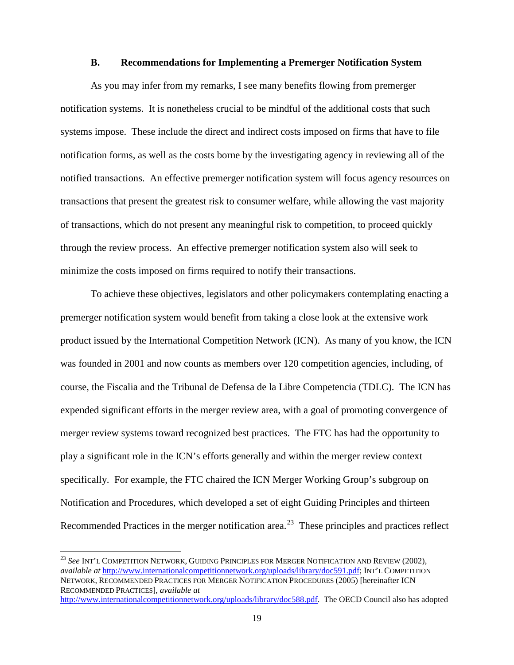#### **B. Recommendations for Implementing a Premerger Notification System**

As you may infer from my remarks, I see many benefits flowing from premerger notification systems. It is nonetheless crucial to be mindful of the additional costs that such systems impose. These include the direct and indirect costs imposed on firms that have to file notification forms, as well as the costs borne by the investigating agency in reviewing all of the notified transactions. An effective premerger notification system will focus agency resources on transactions that present the greatest risk to consumer welfare, while allowing the vast majority of transactions, which do not present any meaningful risk to competition, to proceed quickly through the review process. An effective premerger notification system also will seek to minimize the costs imposed on firms required to notify their transactions.

To achieve these objectives, legislators and other policymakers contemplating enacting a premerger notification system would benefit from taking a close look at the extensive work product issued by the International Competition Network (ICN). As many of you know, the ICN was founded in 2001 and now counts as members over 120 competition agencies, including, of course, the Fiscalia and the Tribunal de Defensa de la Libre Competencia (TDLC). The ICN has expended significant efforts in the merger review area, with a goal of promoting convergence of merger review systems toward recognized best practices. The FTC has had the opportunity to play a significant role in the ICN's efforts generally and within the merger review context specifically. For example, the FTC chaired the ICN Merger Working Group's subgroup on Notification and Procedures, which developed a set of eight Guiding Principles and thirteen Recommended Practices in the merger notification area.<sup>[23](#page-18-0)</sup> These principles and practices reflect

<span id="page-18-1"></span><span id="page-18-0"></span><sup>23</sup> *See* INT'L COMPETITION NETWORK, GUIDING PRINCIPLES FOR MERGER NOTIFICATION AND REVIEW (2002), *available at* [http://www.internationalcompetitionnetwork.org/uploads/library/doc591.pdf;](http://www.internationalcompetitionnetwork.org/uploads/library/doc591.pdf) INT'L COMPETITION NETWORK, RECOMMENDED PRACTICES FOR MERGER NOTIFICATION PROCEDURES (2005) [hereinafter ICN RECOMMENDED PRACTICES], *available at*

[http://www.internationalcompetitionnetwork.org/uploads/library/doc588.pdf.](http://www.internationalcompetitionnetwork.org/uploads/library/doc588.pdf) The OECD Council also has adopted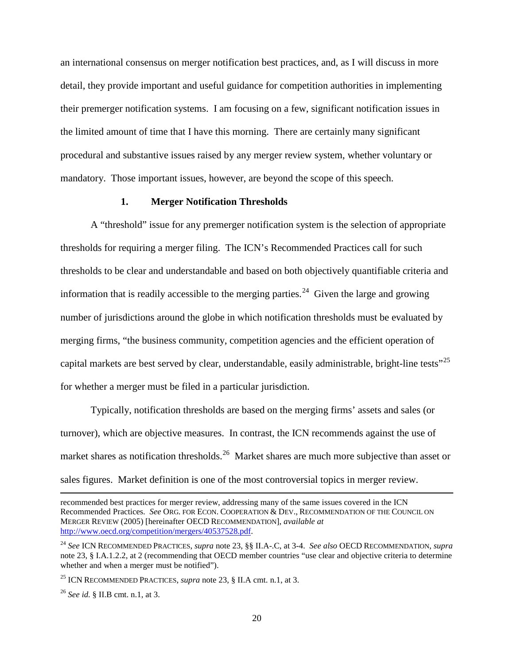an international consensus on merger notification best practices, and, as I will discuss in more detail, they provide important and useful guidance for competition authorities in implementing their premerger notification systems. I am focusing on a few, significant notification issues in the limited amount of time that I have this morning. There are certainly many significant procedural and substantive issues raised by any merger review system, whether voluntary or mandatory. Those important issues, however, are beyond the scope of this speech.

# **1. Merger Notification Thresholds**

A "threshold" issue for any premerger notification system is the selection of appropriate thresholds for requiring a merger filing. The ICN's Recommended Practices call for such thresholds to be clear and understandable and based on both objectively quantifiable criteria and information that is readily accessible to the merging parties.<sup>[24](#page-19-0)</sup> Given the large and growing number of jurisdictions around the globe in which notification thresholds must be evaluated by merging firms, "the business community, competition agencies and the efficient operation of capital markets are best served by clear, understandable, easily administrable, bright-line tests"<sup>[25](#page-19-1)</sup> for whether a merger must be filed in a particular jurisdiction.

Typically, notification thresholds are based on the merging firms' assets and sales (or turnover), which are objective measures. In contrast, the ICN recommends against the use of market shares as notification thresholds.<sup>26</sup> Market shares are much more subjective than asset or sales figures. Market definition is one of the most controversial topics in merger review.

recommended best practices for merger review, addressing many of the same issues covered in the ICN Recommended Practices. *See* ORG. FOR ECON. COOPERATION & DEV., RECOMMENDATION OF THE COUNCIL ON MERGER REVIEW (2005) [hereinafter OECD RECOMMENDATION], *available at* [http://www.oecd.org/competition/mergers/40537528.pdf.](http://www.oecd.org/competition/mergers/40537528.pdf)

 $\overline{\phantom{a}}$ 

<span id="page-19-0"></span><sup>24</sup> *See* ICN RECOMMENDED PRACTICES, *supra* note [23,](#page-18-1) §§ II.A-.C, at 3-4. *See also* OECD RECOMMENDATION, *supra* not[e 23,](#page-18-1) § I.A.1.2.2, at 2 (recommending that OECD member countries "use clear and objective criteria to determine whether and when a merger must be notified").

<span id="page-19-1"></span><sup>25</sup> ICN RECOMMENDED PRACTICES, *supra* note [23,](#page-18-1) § II.A cmt. n.1, at 3.

<span id="page-19-2"></span><sup>26</sup> *See id.* § II.B cmt. n.1, at 3.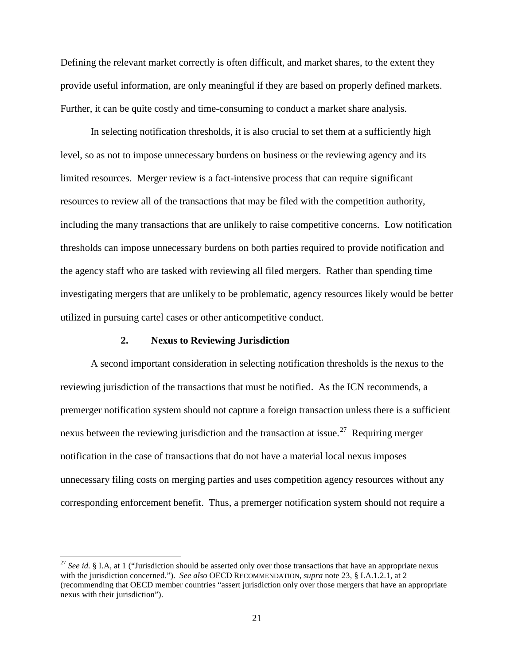Defining the relevant market correctly is often difficult, and market shares, to the extent they provide useful information, are only meaningful if they are based on properly defined markets. Further, it can be quite costly and time-consuming to conduct a market share analysis.

In selecting notification thresholds, it is also crucial to set them at a sufficiently high level, so as not to impose unnecessary burdens on business or the reviewing agency and its limited resources. Merger review is a fact-intensive process that can require significant resources to review all of the transactions that may be filed with the competition authority, including the many transactions that are unlikely to raise competitive concerns. Low notification thresholds can impose unnecessary burdens on both parties required to provide notification and the agency staff who are tasked with reviewing all filed mergers. Rather than spending time investigating mergers that are unlikely to be problematic, agency resources likely would be better utilized in pursuing cartel cases or other anticompetitive conduct.

#### **2. Nexus to Reviewing Jurisdiction**

A second important consideration in selecting notification thresholds is the nexus to the reviewing jurisdiction of the transactions that must be notified. As the ICN recommends, a premerger notification system should not capture a foreign transaction unless there is a sufficient nexus between the reviewing jurisdiction and the transaction at issue.<sup>[27](#page-20-0)</sup> Requiring merger notification in the case of transactions that do not have a material local nexus imposes unnecessary filing costs on merging parties and uses competition agency resources without any corresponding enforcement benefit. Thus, a premerger notification system should not require a

<span id="page-20-0"></span><sup>27</sup> *See id.* § I.A, at 1 ("Jurisdiction should be asserted only over those transactions that have an appropriate nexus with the jurisdiction concerned."). *See also* OECD RECOMMENDATION, *supra* note [23,](#page-18-1) § I.A.1.2.1, at 2 (recommending that OECD member countries "assert jurisdiction only over those mergers that have an appropriate nexus with their jurisdiction").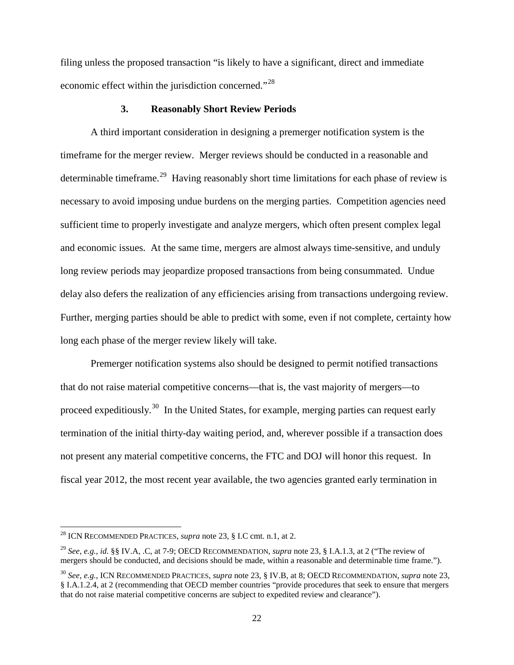filing unless the proposed transaction "is likely to have a significant, direct and immediate economic effect within the jurisdiction concerned."[28](#page-21-0)

### **3. Reasonably Short Review Periods**

A third important consideration in designing a premerger notification system is the timeframe for the merger review. Merger reviews should be conducted in a reasonable and determinable timeframe.<sup>29</sup> Having reasonably short time limitations for each phase of review is necessary to avoid imposing undue burdens on the merging parties. Competition agencies need sufficient time to properly investigate and analyze mergers, which often present complex legal and economic issues. At the same time, mergers are almost always time-sensitive, and unduly long review periods may jeopardize proposed transactions from being consummated. Undue delay also defers the realization of any efficiencies arising from transactions undergoing review. Further, merging parties should be able to predict with some, even if not complete, certainty how long each phase of the merger review likely will take.

Premerger notification systems also should be designed to permit notified transactions that do not raise material competitive concerns—that is, the vast majority of mergers—to proceed expeditiously.<sup>[30](#page-21-2)</sup> In the United States, for example, merging parties can request early termination of the initial thirty-day waiting period, and, wherever possible if a transaction does not present any material competitive concerns, the FTC and DOJ will honor this request. In fiscal year 2012, the most recent year available, the two agencies granted early termination in

<span id="page-21-0"></span><sup>28</sup> ICN RECOMMENDED PRACTICES, *supra* note [23,](#page-18-1) § I.C cmt. n.1, at 2.

<span id="page-21-1"></span><sup>29</sup> *See, e.g.*, *id.* §§ IV.A, .C, at 7-9; OECD RECOMMENDATION, *supra* note [23,](#page-18-1) § I.A.1.3, at 2 ("The review of mergers should be conducted, and decisions should be made, within a reasonable and determinable time frame.").

<span id="page-21-2"></span><sup>30</sup> *See, e.g.*, ICN RECOMMENDED PRACTICES, *supra* note [23,](#page-18-1) § IV.B, at 8; OECD RECOMMENDATION, *supra* note [23,](#page-18-1) § I.A.1.2.4, at 2 (recommending that OECD member countries "provide procedures that seek to ensure that mergers that do not raise material competitive concerns are subject to expedited review and clearance").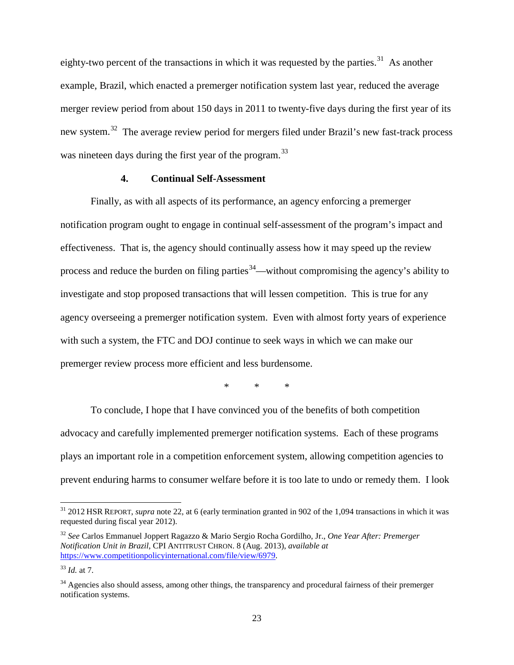eighty-two percent of the transactions in which it was requested by the parties.<sup>[31](#page-22-0)</sup> As another example, Brazil, which enacted a premerger notification system last year, reduced the average merger review period from about 150 days in 2011 to twenty-five days during the first year of its new system.<sup>[32](#page-22-1)</sup> The average review period for mergers filed under Brazil's new fast-track process was nineteen days during the first year of the program.<sup>[33](#page-22-2)</sup>

### **4. Continual Self-Assessment**

Finally, as with all aspects of its performance, an agency enforcing a premerger notification program ought to engage in continual self-assessment of the program's impact and effectiveness. That is, the agency should continually assess how it may speed up the review process and reduce the burden on filing parties  $34$ —without compromising the agency's ability to investigate and stop proposed transactions that will lessen competition. This is true for any agency overseeing a premerger notification system. Even with almost forty years of experience with such a system, the FTC and DOJ continue to seek ways in which we can make our premerger review process more efficient and less burdensome.

\* \* \*

To conclude, I hope that I have convinced you of the benefits of both competition advocacy and carefully implemented premerger notification systems. Each of these programs plays an important role in a competition enforcement system, allowing competition agencies to prevent enduring harms to consumer welfare before it is too late to undo or remedy them. I look

<span id="page-22-0"></span><sup>&</sup>lt;sup>31</sup> 2012 HSR REPORT, *supra* note [22,](#page-16-1) at 6 (early termination granted in 902 of the 1,094 transactions in which it was requested during fiscal year 2012).

<span id="page-22-1"></span><sup>32</sup> *See* Carlos Emmanuel Joppert Ragazzo & Mario Sergio Rocha Gordilho, Jr., *One Year After: Premerger Notification Unit in Brazil*, CPI ANTITRUST CHRON. 8 (Aug. 2013), *available at* [https://www.competitionpolicyinternational.com/file/view/6979.](https://www.competitionpolicyinternational.com/file/view/6979)

<span id="page-22-2"></span><sup>33</sup> *Id.* at 7.

<span id="page-22-3"></span><sup>&</sup>lt;sup>34</sup> Agencies also should assess, among other things, the transparency and procedural fairness of their premerger notification systems.